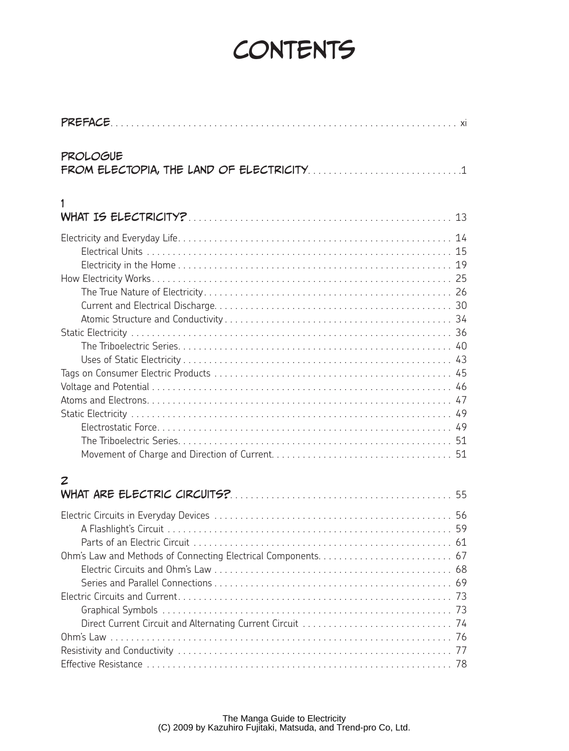## **CONTENTS**

| <b>PROLOGUE</b> |  |
|-----------------|--|
|                 |  |
|                 |  |
| 1               |  |
|                 |  |
|                 |  |
|                 |  |
|                 |  |
|                 |  |
|                 |  |
|                 |  |
|                 |  |
|                 |  |
|                 |  |
|                 |  |
|                 |  |
|                 |  |
|                 |  |
|                 |  |
|                 |  |
|                 |  |
|                 |  |
| 2               |  |
|                 |  |
|                 |  |
|                 |  |
|                 |  |
|                 |  |
|                 |  |
|                 |  |
|                 |  |
|                 |  |
|                 |  |
|                 |  |
|                 |  |
|                 |  |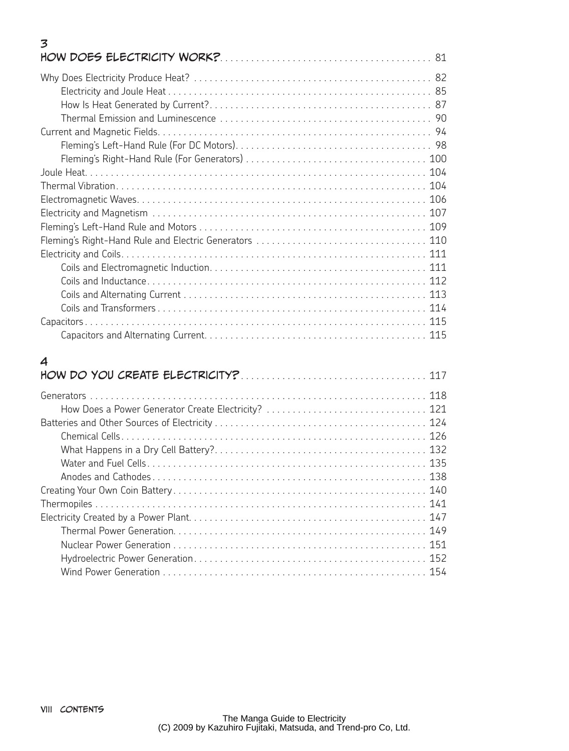## 3 How Does Electricity Work?. . . . . . . . . . . . . . . . . . . . . . . . . . . . . . . . . . . . . . . . . 81

## 4

| How Does a Power Generator Create Electricity?  121 |
|-----------------------------------------------------|
|                                                     |
|                                                     |
|                                                     |
|                                                     |
|                                                     |
|                                                     |
|                                                     |
|                                                     |
|                                                     |
|                                                     |
|                                                     |
|                                                     |